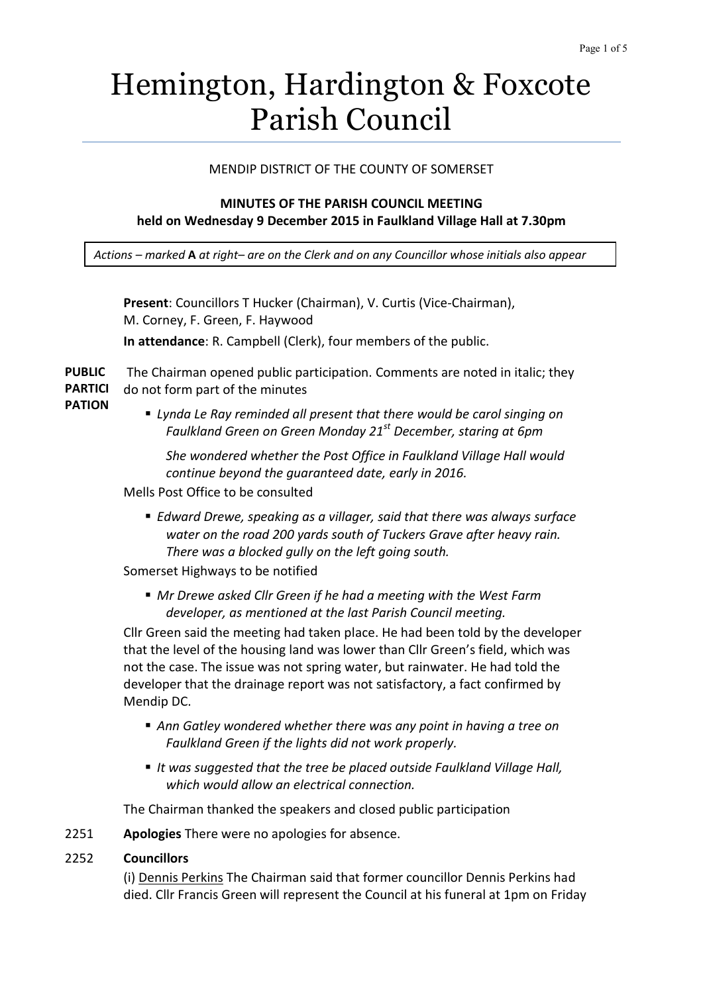# Hemington, Hardington & Foxcote Parish Council

# MENDIP DISTRICT OF THE COUNTY OF SOMERSET

# **MINUTES OF THE PARISH COUNCIL MEETING held on Wednesday 9 December 2015 in Faulkland Village Hall at 7.30pm**

*Actions – marked* **A** *at right– are on the Clerk and on any Councillor whose initials also appear*

**Present**: Councillors T Hucker (Chairman), V. Curtis (Vice-Chairman), M. Corney, F. Green, F. Haywood **In attendance**: R. Campbell (Clerk), four members of the public.

**PUBLIC PARTICI** The Chairman opened public participation. Comments are noted in italic; they do not form part of the minutes

- **PATION**
- *Lynda Le Ray reminded all present that there would be carol singing on Faulkland Green on Green Monday 21st December, staring at 6pm*

*She wondered whether the Post Office in Faulkland Village Hall would continue beyond the guaranteed date, early in 2016.*

- Mells Post Office to be consulted
	- *Edward Drewe, speaking as a villager, said that there was always surface water on the road 200 yards south of Tuckers Grave after heavy rain. There was a blocked gully on the left going south.*

Somerset Highways to be notified

 *Mr Drewe asked Cllr Green if he had a meeting with the West Farm developer, as mentioned at the last Parish Council meeting.*

Cllr Green said the meeting had taken place. He had been told by the developer that the level of the housing land was lower than Cllr Green's field, which was not the case. The issue was not spring water, but rainwater. He had told the developer that the drainage report was not satisfactory, a fact confirmed by Mendip DC.

- *Ann Gatley wondered whether there was any point in having a tree on Faulkland Green if the lights did not work properly.*
- *It was suggested that the tree be placed outside Faulkland Village Hall, which would allow an electrical connection.*

The Chairman thanked the speakers and closed public participation

- 2251 **Apologies** There were no apologies for absence.
- 2252 **Councillors**

(i) Dennis Perkins The Chairman said that former councillor Dennis Perkins had died. Cllr Francis Green will represent the Council at his funeral at 1pm on Friday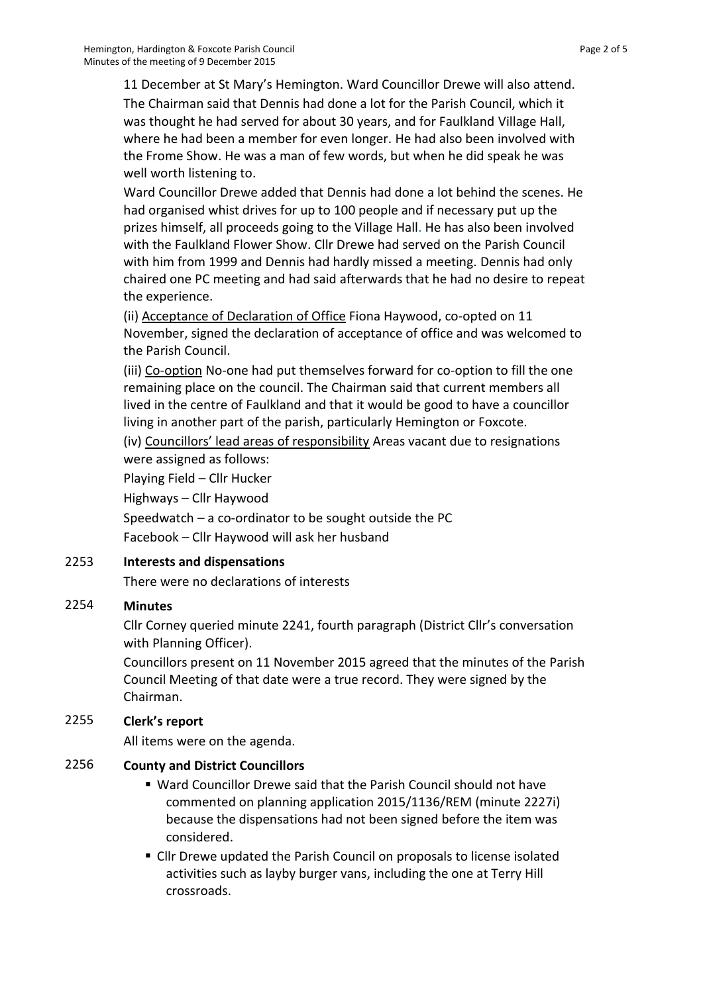11 December at St Mary's Hemington. Ward Councillor Drewe will also attend. The Chairman said that Dennis had done a lot for the Parish Council, which it was thought he had served for about 30 years, and for Faulkland Village Hall, where he had been a member for even longer. He had also been involved with the Frome Show. He was a man of few words, but when he did speak he was well worth listening to.

Ward Councillor Drewe added that Dennis had done a lot behind the scenes. He had organised whist drives for up to 100 people and if necessary put up the prizes himself, all proceeds going to the Village Hall. He has also been involved with the Faulkland Flower Show. Cllr Drewe had served on the Parish Council with him from 1999 and Dennis had hardly missed a meeting. Dennis had only chaired one PC meeting and had said afterwards that he had no desire to repeat the experience.

(ii) Acceptance of Declaration of Office Fiona Haywood, co-opted on 11 November, signed the declaration of acceptance of office and was welcomed to the Parish Council.

(iii) Co-option No-one had put themselves forward for co-option to fill the one remaining place on the council. The Chairman said that current members all lived in the centre of Faulkland and that it would be good to have a councillor living in another part of the parish, particularly Hemington or Foxcote.

(iv) Councillors' lead areas of responsibility Areas vacant due to resignations were assigned as follows:

Playing Field – Cllr Hucker

Highways – Cllr Haywood

Speedwatch – a co-ordinator to be sought outside the PC Facebook – Cllr Haywood will ask her husband

#### 2253 **Interests and dispensations**

There were no declarations of interests

#### 2254 **Minutes**

Cllr Corney queried minute 2241, fourth paragraph (District Cllr's conversation with Planning Officer).

Councillors present on 11 November 2015 agreed that the minutes of the Parish Council Meeting of that date were a true record. They were signed by the Chairman.

# 2255 **Clerk's report**

All items were on the agenda.

### 2256 **County and District Councillors**

- Ward Councillor Drewe said that the Parish Council should not have commented on planning application 2015/1136/REM (minute 2227i) because the dispensations had not been signed before the item was considered.
- Cllr Drewe updated the Parish Council on proposals to license isolated activities such as layby burger vans, including the one at Terry Hill crossroads.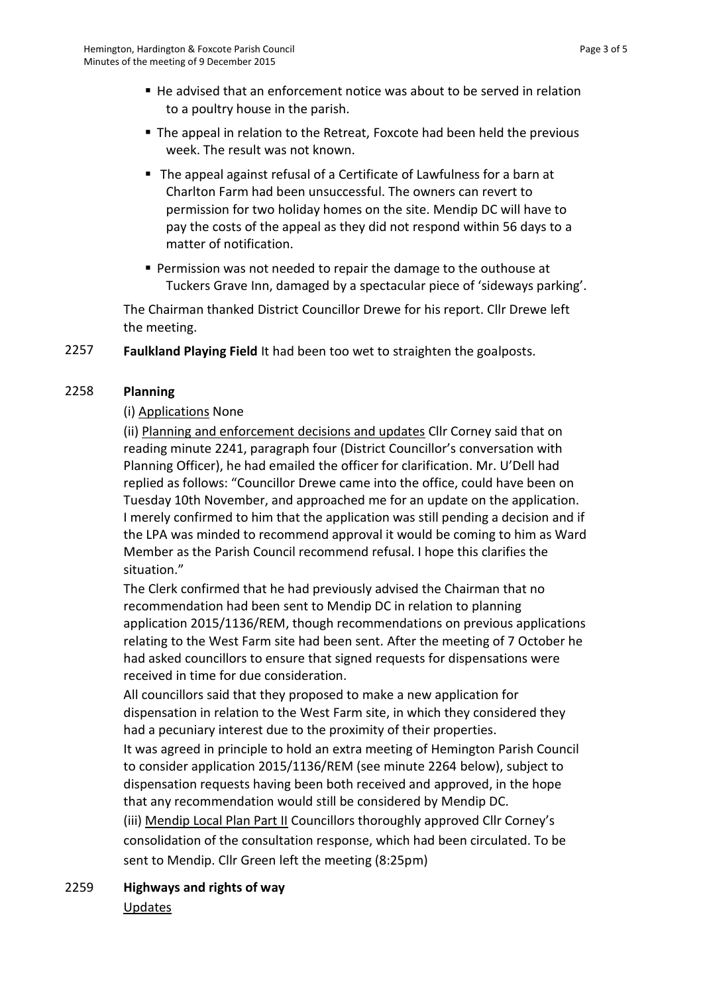- He advised that an enforcement notice was about to be served in relation to a poultry house in the parish.
- The appeal in relation to the Retreat, Foxcote had been held the previous week. The result was not known.
- The appeal against refusal of a Certificate of Lawfulness for a barn at Charlton Farm had been unsuccessful. The owners can revert to permission for two holiday homes on the site. Mendip DC will have to pay the costs of the appeal as they did not respond within 56 days to a matter of notification.
- Permission was not needed to repair the damage to the outhouse at Tuckers Grave Inn, damaged by a spectacular piece of 'sideways parking'.

The Chairman thanked District Councillor Drewe for his report. Cllr Drewe left the meeting.

2257 **Faulkland Playing Field** It had been too wet to straighten the goalposts.

### 2258 **Planning**

### (i) Applications None

(ii) Planning and enforcement decisions and updates Cllr Corney said that on reading minute 2241, paragraph four (District Councillor's conversation with Planning Officer), he had emailed the officer for clarification. Mr. U'Dell had replied as follows: "Councillor Drewe came into the office, could have been on Tuesday 10th November, and approached me for an update on the application. I merely confirmed to him that the application was still pending a decision and if the LPA was minded to recommend approval it would be coming to him as Ward Member as the Parish Council recommend refusal. I hope this clarifies the situation."

The Clerk confirmed that he had previously advised the Chairman that no recommendation had been sent to Mendip DC in relation to planning application 2015/1136/REM, though recommendations on previous applications relating to the West Farm site had been sent. After the meeting of 7 October he had asked councillors to ensure that signed requests for dispensations were received in time for due consideration.

All councillors said that they proposed to make a new application for dispensation in relation to the West Farm site, in which they considered they had a pecuniary interest due to the proximity of their properties.

It was agreed in principle to hold an extra meeting of Hemington Parish Council to consider application 2015/1136/REM (see minute 2264 below), subject to dispensation requests having been both received and approved, in the hope that any recommendation would still be considered by Mendip DC.

(iii) Mendip Local Plan Part II Councillors thoroughly approved Cllr Corney's consolidation of the consultation response, which had been circulated. To be sent to Mendip. Cllr Green left the meeting (8:25pm)

2259 **Highways and rights of way** Updates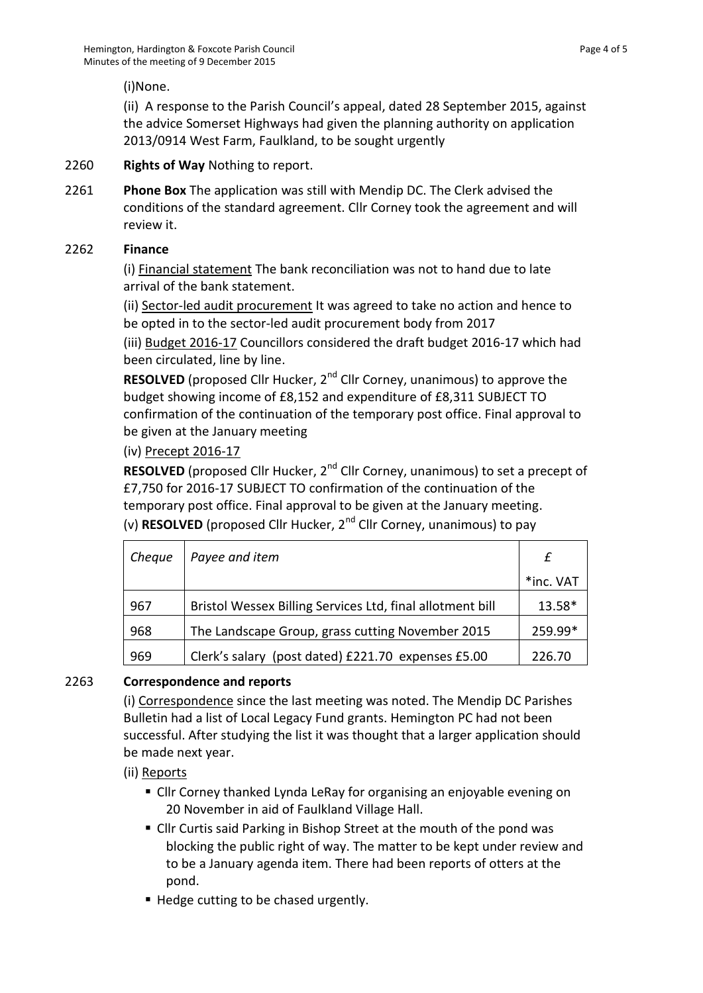(i)None.

(ii) A response to the Parish Council's appeal, dated 28 September 2015, against the advice Somerset Highways had given the planning authority on application 2013/0914 West Farm, Faulkland, to be sought urgently

## 2260 **Rights of Way** Nothing to report.

2261 **Phone Box** The application was still with Mendip DC. The Clerk advised the conditions of the standard agreement. Cllr Corney took the agreement and will review it.

### 2262 **Finance**

(i) Financial statement The bank reconciliation was not to hand due to late arrival of the bank statement.

(ii) Sector-led audit procurement It was agreed to take no action and hence to be opted in to the sector-led audit procurement body from 2017

(iii) Budget 2016-17 Councillors considered the draft budget 2016-17 which had been circulated, line by line.

**RESOLVED** (proposed Cllr Hucker, 2<sup>nd</sup> Cllr Corney, unanimous) to approve the budget showing income of £8,152 and expenditure of £8,311 SUBJECT TO confirmation of the continuation of the temporary post office. Final approval to be given at the January meeting

# (iv) Precept 2016-17

**RESOLVED** (proposed Cllr Hucker, 2<sup>nd</sup> Cllr Corney, unanimous) to set a precept of £7,750 for 2016-17 SUBJECT TO confirmation of the continuation of the temporary post office. Final approval to be given at the January meeting. (v) **RESOLVED** (proposed Cllr Hucker, 2nd Cllr Corney, unanimous) to pay

| Cheque | Payee and item                                            |           |
|--------|-----------------------------------------------------------|-----------|
|        |                                                           | *inc. VAT |
| 967    | Bristol Wessex Billing Services Ltd, final allotment bill | 13.58*    |
| 968    | The Landscape Group, grass cutting November 2015          | 259.99*   |
| 969    | Clerk's salary (post dated) £221.70 expenses £5.00        | 226.70    |

# 2263 **Correspondence and reports**

(i) Correspondence since the last meeting was noted. The Mendip DC Parishes Bulletin had a list of Local Legacy Fund grants. Hemington PC had not been successful. After studying the list it was thought that a larger application should be made next year.

(ii) Reports

- Cllr Corney thanked Lynda LeRay for organising an enjoyable evening on 20 November in aid of Faulkland Village Hall.
- Cllr Curtis said Parking in Bishop Street at the mouth of the pond was blocking the public right of way. The matter to be kept under review and to be a January agenda item. There had been reports of otters at the pond.
- Hedge cutting to be chased urgently.